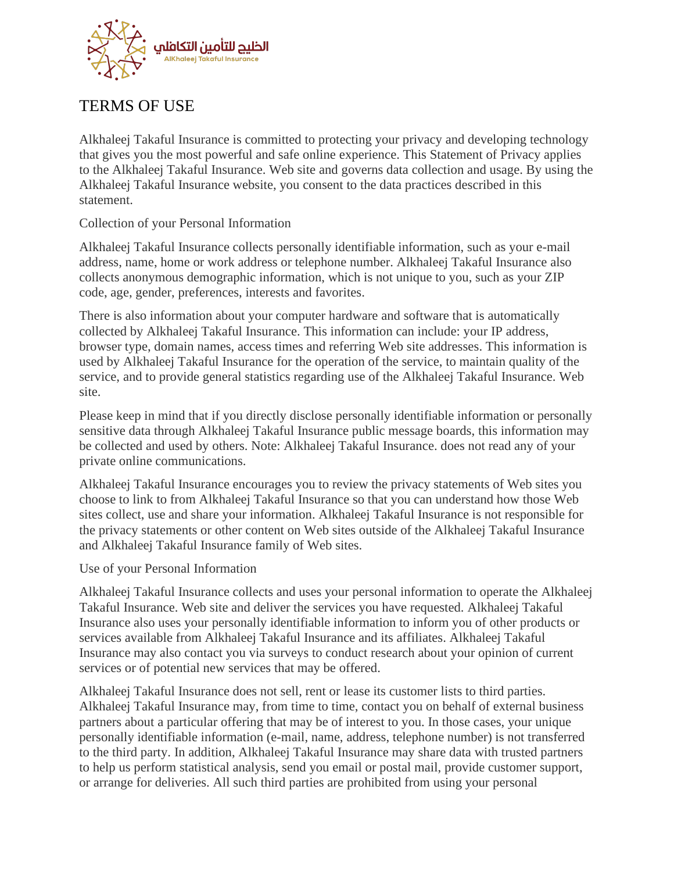

# TERMS OF USE

Alkhaleej Takaful Insurance is committed to protecting your privacy and developing technology that gives you the most powerful and safe online experience. This Statement of Privacy applies to the Alkhaleej Takaful Insurance. Web site and governs data collection and usage. By using the Alkhaleej Takaful Insurance website, you consent to the data practices described in this statement.

## Collection of your Personal Information

Alkhaleej Takaful Insurance collects personally identifiable information, such as your e-mail address, name, home or work address or telephone number. Alkhaleej Takaful Insurance also collects anonymous demographic information, which is not unique to you, such as your ZIP code, age, gender, preferences, interests and favorites.

There is also information about your computer hardware and software that is automatically collected by Alkhaleej Takaful Insurance. This information can include: your IP address, browser type, domain names, access times and referring Web site addresses. This information is used by Alkhaleej Takaful Insurance for the operation of the service, to maintain quality of the service, and to provide general statistics regarding use of the Alkhaleej Takaful Insurance. Web site.

Please keep in mind that if you directly disclose personally identifiable information or personally sensitive data through Alkhaleej Takaful Insurance public message boards, this information may be collected and used by others. Note: Alkhaleej Takaful Insurance. does not read any of your private online communications.

Alkhaleej Takaful Insurance encourages you to review the privacy statements of Web sites you choose to link to from Alkhaleej Takaful Insurance so that you can understand how those Web sites collect, use and share your information. Alkhaleej Takaful Insurance is not responsible for the privacy statements or other content on Web sites outside of the Alkhaleej Takaful Insurance and Alkhaleej Takaful Insurance family of Web sites.

#### Use of your Personal Information

Alkhaleej Takaful Insurance collects and uses your personal information to operate the Alkhaleej Takaful Insurance. Web site and deliver the services you have requested. Alkhaleej Takaful Insurance also uses your personally identifiable information to inform you of other products or services available from Alkhaleej Takaful Insurance and its affiliates. Alkhaleej Takaful Insurance may also contact you via surveys to conduct research about your opinion of current services or of potential new services that may be offered.

Alkhaleej Takaful Insurance does not sell, rent or lease its customer lists to third parties. Alkhaleej Takaful Insurance may, from time to time, contact you on behalf of external business partners about a particular offering that may be of interest to you. In those cases, your unique personally identifiable information (e-mail, name, address, telephone number) is not transferred to the third party. In addition, Alkhaleej Takaful Insurance may share data with trusted partners to help us perform statistical analysis, send you email or postal mail, provide customer support, or arrange for deliveries. All such third parties are prohibited from using your personal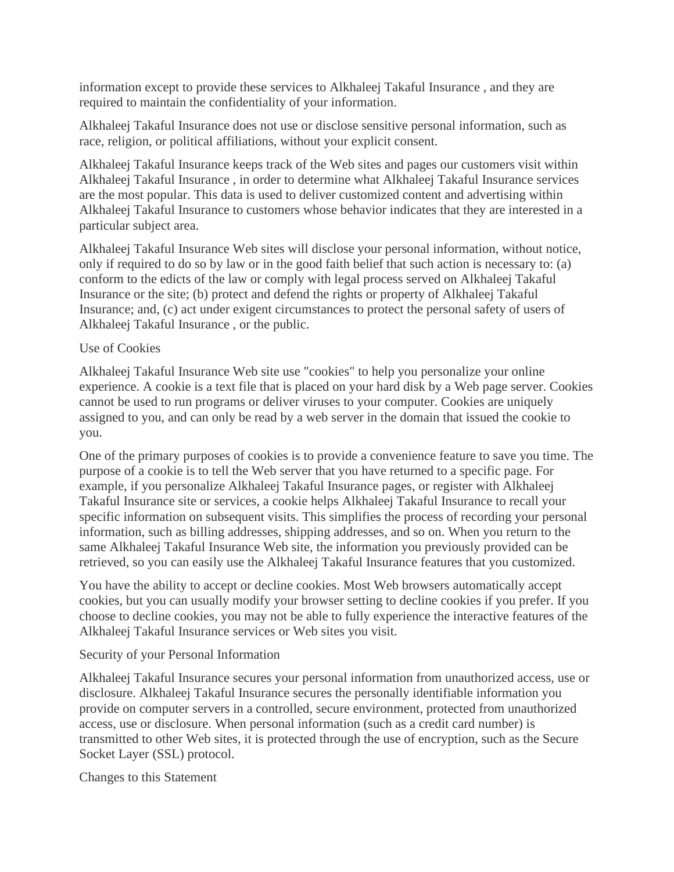information except to provide these services to Alkhaleej Takaful Insurance , and they are required to maintain the confidentiality of your information.

Alkhaleej Takaful Insurance does not use or disclose sensitive personal information, such as race, religion, or political affiliations, without your explicit consent.

Alkhaleej Takaful Insurance keeps track of the Web sites and pages our customers visit within Alkhaleej Takaful Insurance , in order to determine what Alkhaleej Takaful Insurance services are the most popular. This data is used to deliver customized content and advertising within Alkhaleej Takaful Insurance to customers whose behavior indicates that they are interested in a particular subject area.

Alkhaleej Takaful Insurance Web sites will disclose your personal information, without notice, only if required to do so by law or in the good faith belief that such action is necessary to: (a) conform to the edicts of the law or comply with legal process served on Alkhaleej Takaful Insurance or the site; (b) protect and defend the rights or property of Alkhaleej Takaful Insurance; and, (c) act under exigent circumstances to protect the personal safety of users of Alkhaleej Takaful Insurance , or the public.

#### Use of Cookies

Alkhaleej Takaful Insurance Web site use "cookies" to help you personalize your online experience. A cookie is a text file that is placed on your hard disk by a Web page server. Cookies cannot be used to run programs or deliver viruses to your computer. Cookies are uniquely assigned to you, and can only be read by a web server in the domain that issued the cookie to you.

One of the primary purposes of cookies is to provide a convenience feature to save you time. The purpose of a cookie is to tell the Web server that you have returned to a specific page. For example, if you personalize Alkhaleej Takaful Insurance pages, or register with Alkhaleej Takaful Insurance site or services, a cookie helps Alkhaleej Takaful Insurance to recall your specific information on subsequent visits. This simplifies the process of recording your personal information, such as billing addresses, shipping addresses, and so on. When you return to the same Alkhaleej Takaful Insurance Web site, the information you previously provided can be retrieved, so you can easily use the Alkhaleej Takaful Insurance features that you customized.

You have the ability to accept or decline cookies. Most Web browsers automatically accept cookies, but you can usually modify your browser setting to decline cookies if you prefer. If you choose to decline cookies, you may not be able to fully experience the interactive features of the Alkhaleej Takaful Insurance services or Web sites you visit.

#### Security of your Personal Information

Alkhaleej Takaful Insurance secures your personal information from unauthorized access, use or disclosure. Alkhaleej Takaful Insurance secures the personally identifiable information you provide on computer servers in a controlled, secure environment, protected from unauthorized access, use or disclosure. When personal information (such as a credit card number) is transmitted to other Web sites, it is protected through the use of encryption, such as the Secure Socket Layer (SSL) protocol.

Changes to this Statement